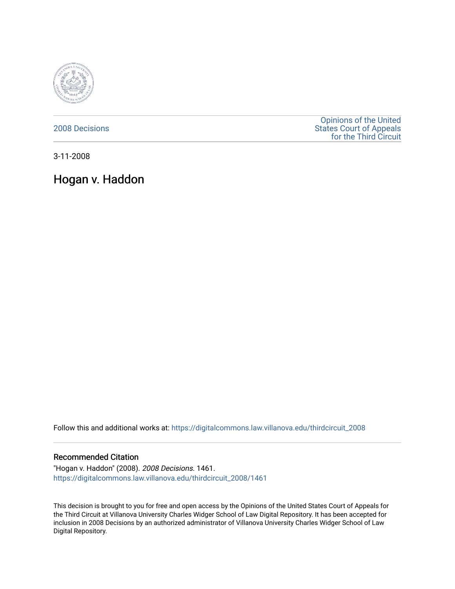

[2008 Decisions](https://digitalcommons.law.villanova.edu/thirdcircuit_2008)

[Opinions of the United](https://digitalcommons.law.villanova.edu/thirdcircuit)  [States Court of Appeals](https://digitalcommons.law.villanova.edu/thirdcircuit)  [for the Third Circuit](https://digitalcommons.law.villanova.edu/thirdcircuit) 

3-11-2008

# Hogan v. Haddon

Follow this and additional works at: [https://digitalcommons.law.villanova.edu/thirdcircuit\\_2008](https://digitalcommons.law.villanova.edu/thirdcircuit_2008?utm_source=digitalcommons.law.villanova.edu%2Fthirdcircuit_2008%2F1461&utm_medium=PDF&utm_campaign=PDFCoverPages) 

# Recommended Citation

"Hogan v. Haddon" (2008). 2008 Decisions. 1461. [https://digitalcommons.law.villanova.edu/thirdcircuit\\_2008/1461](https://digitalcommons.law.villanova.edu/thirdcircuit_2008/1461?utm_source=digitalcommons.law.villanova.edu%2Fthirdcircuit_2008%2F1461&utm_medium=PDF&utm_campaign=PDFCoverPages) 

This decision is brought to you for free and open access by the Opinions of the United States Court of Appeals for the Third Circuit at Villanova University Charles Widger School of Law Digital Repository. It has been accepted for inclusion in 2008 Decisions by an authorized administrator of Villanova University Charles Widger School of Law Digital Repository.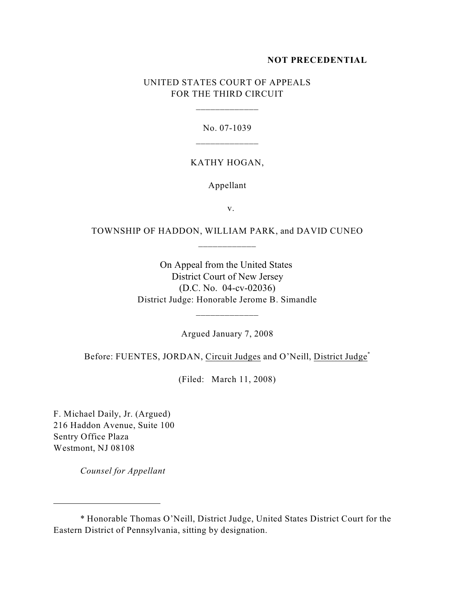## **NOT PRECEDENTIAL**

# UNITED STATES COURT OF APPEALS FOR THE THIRD CIRCUIT

\_\_\_\_\_\_\_\_\_\_\_\_\_

No. 07-1039 \_\_\_\_\_\_\_\_\_\_\_\_\_

### KATHY HOGAN,

### Appellant

v.

# TOWNSHIP OF HADDON, WILLIAM PARK, and DAVID CUNEO \_\_\_\_\_\_\_\_\_\_\_\_

On Appeal from the United States District Court of New Jersey (D.C. No. 04-cv-02036) District Judge: Honorable Jerome B. Simandle

Argued January 7, 2008

\_\_\_\_\_\_\_\_\_\_\_\_\_

Before: FUENTES, JORDAN, Circuit Judges and O'Neill, District Judge\*

(Filed: March 11, 2008)

F. Michael Daily, Jr. (Argued) 216 Haddon Avenue, Suite 100 Sentry Office Plaza Westmont, NJ 08108

*Counsel for Appellant*

<sup>\*</sup> Honorable Thomas O'Neill, District Judge, United States District Court for the Eastern District of Pennsylvania, sitting by designation.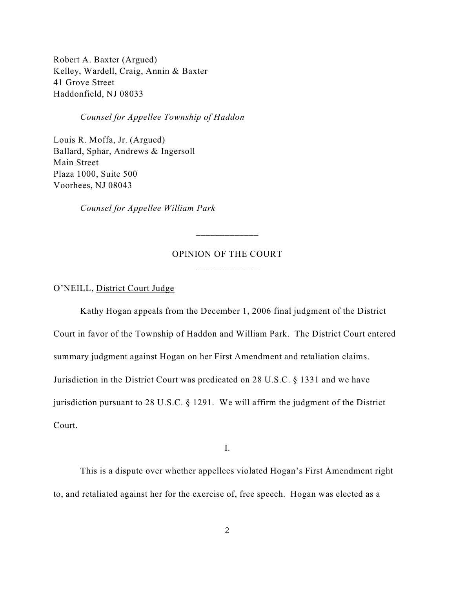Robert A. Baxter (Argued) Kelley, Wardell, Craig, Annin & Baxter 41 Grove Street Haddonfield, NJ 08033

*Counsel for Appellee Township of Haddon*

Louis R. Moffa, Jr. (Argued) Ballard, Sphar, Andrews & Ingersoll Main Street Plaza 1000, Suite 500 Voorhees, NJ 08043

*Counsel for Appellee William Park*

# OPINION OF THE COURT \_\_\_\_\_\_\_\_\_\_\_\_\_

\_\_\_\_\_\_\_\_\_\_\_\_\_

O'NEILL, District Court Judge

Kathy Hogan appeals from the December 1, 2006 final judgment of the District Court in favor of the Township of Haddon and William Park. The District Court entered summary judgment against Hogan on her First Amendment and retaliation claims. Jurisdiction in the District Court was predicated on 28 U.S.C. § 1331 and we have jurisdiction pursuant to 28 U.S.C. § 1291. We will affirm the judgment of the District Court.

I.

This is a dispute over whether appellees violated Hogan's First Amendment right to, and retaliated against her for the exercise of, free speech. Hogan was elected as a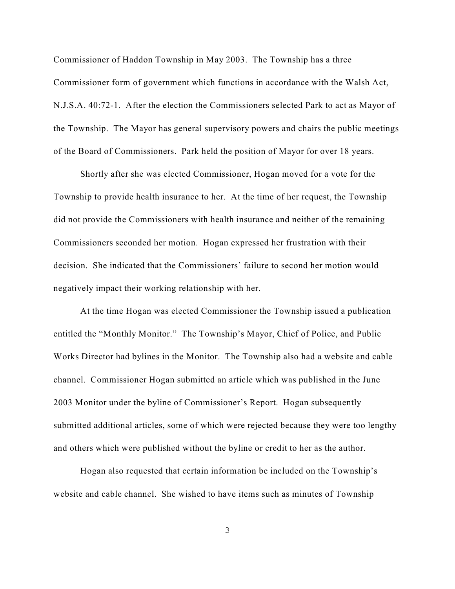Commissioner of Haddon Township in May 2003. The Township has a three Commissioner form of government which functions in accordance with the Walsh Act, N.J.S.A. 40:72-1. After the election the Commissioners selected Park to act as Mayor of the Township. The Mayor has general supervisory powers and chairs the public meetings of the Board of Commissioners. Park held the position of Mayor for over 18 years.

Shortly after she was elected Commissioner, Hogan moved for a vote for the Township to provide health insurance to her. At the time of her request, the Township did not provide the Commissioners with health insurance and neither of the remaining Commissioners seconded her motion. Hogan expressed her frustration with their decision. She indicated that the Commissioners' failure to second her motion would negatively impact their working relationship with her.

At the time Hogan was elected Commissioner the Township issued a publication entitled the "Monthly Monitor." The Township's Mayor, Chief of Police, and Public Works Director had bylines in the Monitor. The Township also had a website and cable channel. Commissioner Hogan submitted an article which was published in the June 2003 Monitor under the byline of Commissioner's Report. Hogan subsequently submitted additional articles, some of which were rejected because they were too lengthy and others which were published without the byline or credit to her as the author.

Hogan also requested that certain information be included on the Township's website and cable channel. She wished to have items such as minutes of Township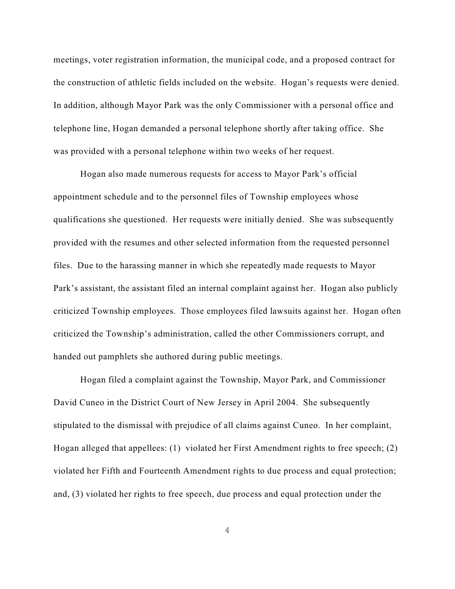meetings, voter registration information, the municipal code, and a proposed contract for the construction of athletic fields included on the website. Hogan's requests were denied. In addition, although Mayor Park was the only Commissioner with a personal office and telephone line, Hogan demanded a personal telephone shortly after taking office. She was provided with a personal telephone within two weeks of her request.

Hogan also made numerous requests for access to Mayor Park's official appointment schedule and to the personnel files of Township employees whose qualifications she questioned. Her requests were initially denied. She was subsequently provided with the resumes and other selected information from the requested personnel files. Due to the harassing manner in which she repeatedly made requests to Mayor Park's assistant, the assistant filed an internal complaint against her. Hogan also publicly criticized Township employees. Those employees filed lawsuits against her. Hogan often criticized the Township's administration, called the other Commissioners corrupt, and handed out pamphlets she authored during public meetings.

Hogan filed a complaint against the Township, Mayor Park, and Commissioner David Cuneo in the District Court of New Jersey in April 2004. She subsequently stipulated to the dismissal with prejudice of all claims against Cuneo. In her complaint, Hogan alleged that appellees: (1) violated her First Amendment rights to free speech; (2) violated her Fifth and Fourteenth Amendment rights to due process and equal protection; and, (3) violated her rights to free speech, due process and equal protection under the

4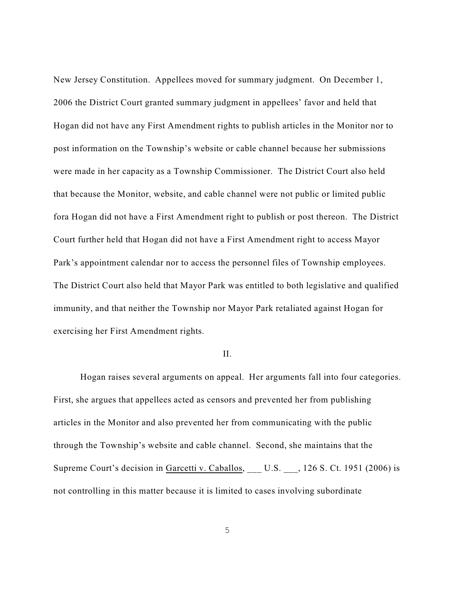New Jersey Constitution. Appellees moved for summary judgment. On December 1, 2006 the District Court granted summary judgment in appellees' favor and held that Hogan did not have any First Amendment rights to publish articles in the Monitor nor to post information on the Township's website or cable channel because her submissions were made in her capacity as a Township Commissioner. The District Court also held that because the Monitor, website, and cable channel were not public or limited public fora Hogan did not have a First Amendment right to publish or post thereon. The District Court further held that Hogan did not have a First Amendment right to access Mayor Park's appointment calendar nor to access the personnel files of Township employees. The District Court also held that Mayor Park was entitled to both legislative and qualified immunity, and that neither the Township nor Mayor Park retaliated against Hogan for exercising her First Amendment rights.

### II.

Hogan raises several arguments on appeal. Her arguments fall into four categories. First, she argues that appellees acted as censors and prevented her from publishing articles in the Monitor and also prevented her from communicating with the public through the Township's website and cable channel. Second, she maintains that the Supreme Court's decision in Garcetti v. Caballos, \_\_\_ U.S. \_\_\_, 126 S. Ct. 1951 (2006) is not controlling in this matter because it is limited to cases involving subordinate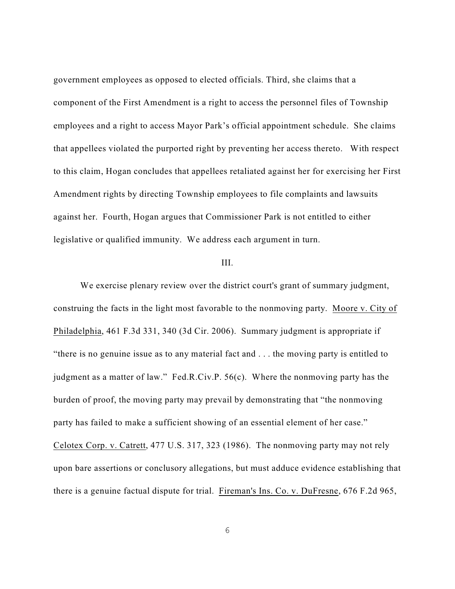government employees as opposed to elected officials. Third, she claims that a component of the First Amendment is a right to access the personnel files of Township employees and a right to access Mayor Park's official appointment schedule. She claims that appellees violated the purported right by preventing her access thereto. With respect to this claim, Hogan concludes that appellees retaliated against her for exercising her First Amendment rights by directing Township employees to file complaints and lawsuits against her. Fourth, Hogan argues that Commissioner Park is not entitled to either legislative or qualified immunity. We address each argument in turn.

# III.

We exercise plenary review over the district court's grant of summary judgment, construing the facts in the light most favorable to the nonmoving party. Moore v. City of Philadelphia, 461 F.3d 331, 340 (3d Cir. 2006). Summary judgment is appropriate if "there is no genuine issue as to any material fact and . . . the moving party is entitled to judgment as a matter of law." Fed.R.Civ.P. 56(c). Where the nonmoving party has the burden of proof, the moving party may prevail by demonstrating that "the nonmoving party has failed to make a sufficient showing of an essential element of her case." Celotex Corp. v. Catrett, 477 U.S. 317, 323 (1986). The nonmoving party may not rely upon bare assertions or conclusory allegations, but must adduce evidence establishing that there is a genuine factual dispute for trial. Fireman's Ins. Co. v. DuFresne, 676 F.2d 965,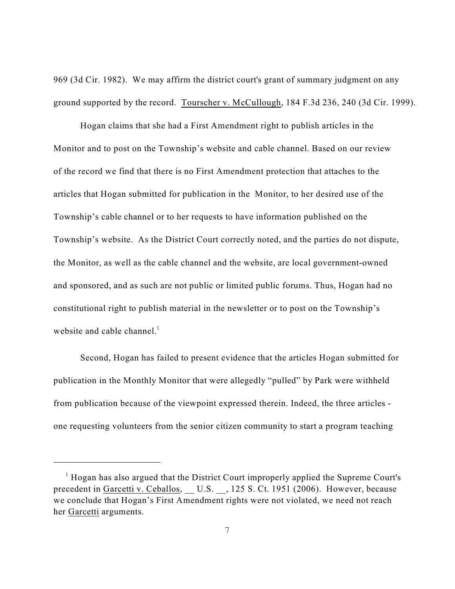969 (3d Cir. 1982). We may affirm the district court's grant of summary judgment on any ground supported by the record. Tourscher v. McCullough, 184 F.3d 236, 240 (3d Cir. 1999).

Hogan claims that she had a First Amendment right to publish articles in the Monitor and to post on the Township's website and cable channel. Based on our review of the record we find that there is no First Amendment protection that attaches to the articles that Hogan submitted for publication in the Monitor, to her desired use of the Township's cable channel or to her requests to have information published on the Township's website. As the District Court correctly noted, and the parties do not dispute, the Monitor, as well as the cable channel and the website, are local government-owned and sponsored, and as such are not public or limited public forums. Thus, Hogan had no constitutional right to publish material in the newsletter or to post on the Township's website and cable channel.<sup>1</sup>

Second, Hogan has failed to present evidence that the articles Hogan submitted for publication in the Monthly Monitor that were allegedly "pulled" by Park were withheld from publication because of the viewpoint expressed therein. Indeed, the three articles one requesting volunteers from the senior citizen community to start a program teaching

 $<sup>1</sup>$  Hogan has also argued that the District Court improperly applied the Supreme Court's</sup> precedent in Garcetti v. Ceballos, \_\_ U.S. \_\_, 125 S. Ct. 1951 (2006). However, because we conclude that Hogan's First Amendment rights were not violated, we need not reach her Garcetti arguments.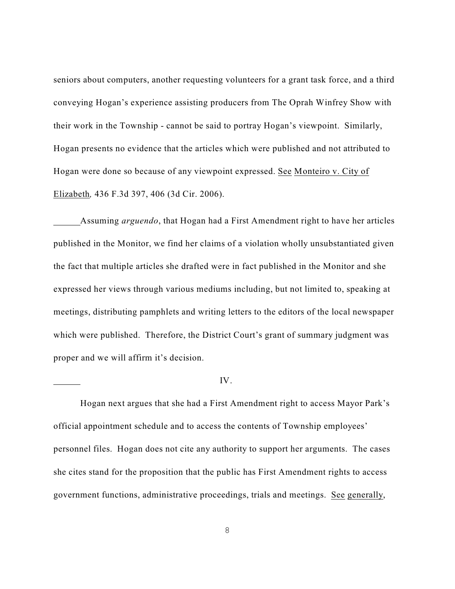seniors about computers, another requesting volunteers for a grant task force, and a third conveying Hogan's experience assisting producers from The Oprah Winfrey Show with their work in the Township - cannot be said to portray Hogan's viewpoint. Similarly, Hogan presents no evidence that the articles which were published and not attributed to Hogan were done so because of any viewpoint expressed. See [Monteiro v. City of](#page-8-0) Elizabeth*,* [436 F.3d 397, 406 \(3d Cir. 2006\).](#page-8-0)

Assuming *arguendo*, that Hogan had a First Amendment right to have her articles published in the Monitor, we find her claims of a violation wholly unsubstantiated given the fact that multiple articles she drafted were in fact published in the Monitor and she expressed her views through various mediums including, but not limited to, speaking at meetings, distributing pamphlets and writing letters to the editors of the local newspaper which were published. Therefore, the District Court's grant of summary judgment was proper and we will affirm it's decision.

### IV.

<span id="page-8-0"></span>Hogan next argues that she had a First Amendment right to access Mayor Park's official appointment schedule and to access the contents of Township employees' personnel files. Hogan does not cite any authority to support her arguments. The cases she cites stand for the proposition that the public has First Amendment rights to access government functions, administrative proceedings, trials and meetings. See generally,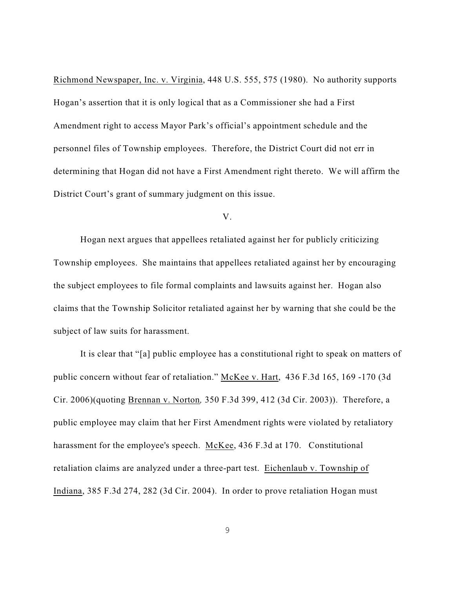Richmond Newspaper, Inc. v. Virginia, 448 U.S. 555, 575 (1980). No authority supports Hogan's assertion that it is only logical that as a Commissioner she had a First Amendment right to access Mayor Park's official's appointment schedule and the personnel files of Township employees. Therefore, the District Court did not err in determining that Hogan did not have a First Amendment right thereto. We will affirm the District Court's grant of summary judgment on this issue.

#### V.

Hogan next argues that appellees retaliated against her for publicly criticizing Township employees. She maintains that appellees retaliated against her by encouraging the subject employees to file formal complaints and lawsuits against her. Hogan also claims that the Township Solicitor retaliated against her by warning that she could be the subject of law suits for harassment.

It is clear that "[a] public employee has a constitutional right to speak on matters of public concern without fear of retaliation." McKee v. Hart, 436 F.3d 165, 169 -170 (3d Cir. 2006)(quoting Brennan v. Norton*,* 350 F.3d 399, 412 (3d Cir. 2003)). Therefore, a public employee may claim that her First Amendment rights were violated by retaliatory harassment for the employee's speech. McKee, 436 F.3d at 170. Constitutional retaliation claims are analyzed under a three-part test. Eichenlaub v. Township of Indiana, 385 F.3d 274, 282 (3d Cir. 2004). In order to prove retaliation Hogan must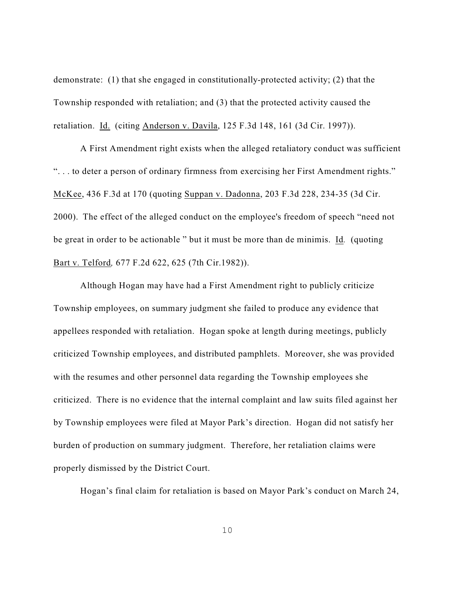demonstrate: (1) that she engaged in constitutionally-protected activity; (2) that the Township responded with retaliation; and (3) that the protected activity caused the retaliation. Id. (citing Anderson v. Davila, 125 F.3d 148, 161 (3d Cir. 1997)).

A First Amendment right exists when the alleged retaliatory conduct was sufficient ". . . to deter a person of ordinary firmness from exercising her First Amendment rights." McKee, 436 F.3d at 170 (quoting Suppan v. Dadonna, 203 F.3d 228, 234-35 (3d Cir. 2000). The effect of the alleged conduct on the employee's freedom of speech "need not be great in order to be actionable " but it must be more than de minimis. Id*.* (quoting Bart v. Telford*,* 677 F.2d 622, 625 (7th Cir.1982)).

Although Hogan may have had a First Amendment right to publicly criticize Township employees, on summary judgment she failed to produce any evidence that appellees responded with retaliation. Hogan spoke at length during meetings, publicly criticized Township employees, and distributed pamphlets. Moreover, she was provided with the resumes and other personnel data regarding the Township employees she criticized. There is no evidence that the internal complaint and law suits filed against her by Township employees were filed at Mayor Park's direction. Hogan did not satisfy her burden of production on summary judgment. Therefore, her retaliation claims were properly dismissed by the District Court.

Hogan's final claim for retaliation is based on Mayor Park's conduct on March 24,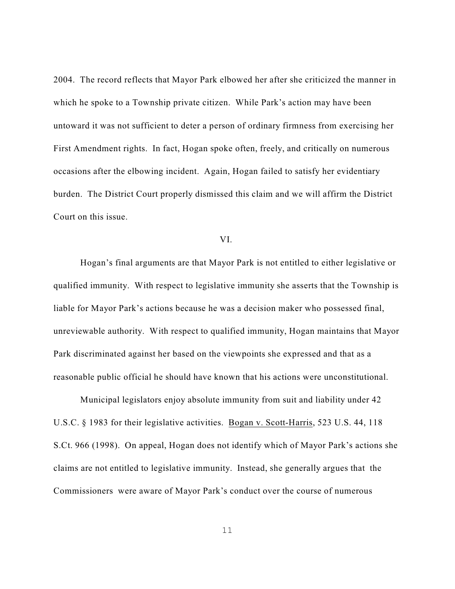2004. The record reflects that Mayor Park elbowed her after she criticized the manner in which he spoke to a Township private citizen. While Park's action may have been untoward it was not sufficient to deter a person of ordinary firmness from exercising her First Amendment rights. In fact, Hogan spoke often, freely, and critically on numerous occasions after the elbowing incident. Again, Hogan failed to satisfy her evidentiary burden. The District Court properly dismissed this claim and we will affirm the District Court on this issue.

#### VI.

Hogan's final arguments are that Mayor Park is not entitled to either legislative or qualified immunity. With respect to legislative immunity she asserts that the Township is liable for Mayor Park's actions because he was a decision maker who possessed final, unreviewable authority. With respect to qualified immunity, Hogan maintains that Mayor Park discriminated against her based on the viewpoints she expressed and that as a reasonable public official he should have known that his actions were unconstitutional.

Municipal legislators enjoy absolute immunity from suit and liability under 42 U.S.C. § 1983 for their legislative activities. Bogan v. Scott-Harris, 523 U.S. 44, 118 S.Ct. 966 (1998). On appeal, Hogan does not identify which of Mayor Park's actions she claims are not entitled to legislative immunity. Instead, she generally argues that the Commissioners were aware of Mayor Park's conduct over the course of numerous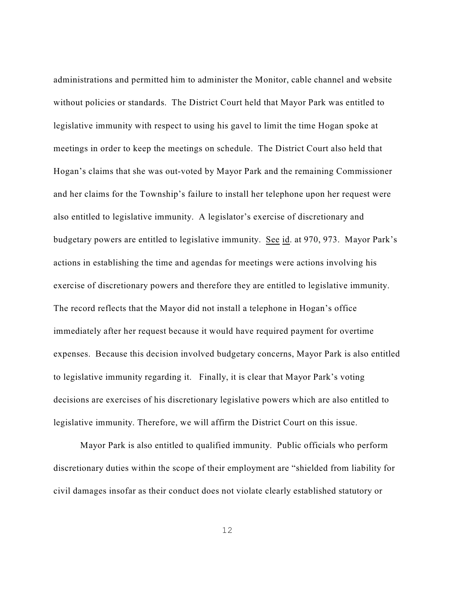administrations and permitted him to administer the Monitor, cable channel and website without policies or standards. The District Court held that Mayor Park was entitled to legislative immunity with respect to using his gavel to limit the time Hogan spoke at meetings in order to keep the meetings on schedule. The District Court also held that Hogan's claims that she was out-voted by Mayor Park and the remaining Commissioner and her claims for the Township's failure to install her telephone upon her request were also entitled to legislative immunity. A legislator's exercise of discretionary and budgetary powers are entitled to legislative immunity. See id. at 970, 973. Mayor Park's actions in establishing the time and agendas for meetings were actions involving his exercise of discretionary powers and therefore they are entitled to legislative immunity. The record reflects that the Mayor did not install a telephone in Hogan's office immediately after her request because it would have required payment for overtime expenses. Because this decision involved budgetary concerns, Mayor Park is also entitled to legislative immunity regarding it. Finally, it is clear that Mayor Park's voting decisions are exercises of his discretionary legislative powers which are also entitled to legislative immunity. Therefore, we will affirm the District Court on this issue.

Mayor Park is also entitled to qualified immunity. Public officials who perform discretionary duties within the scope of their employment are "shielded from liability for civil damages insofar as their conduct does not violate clearly established statutory or